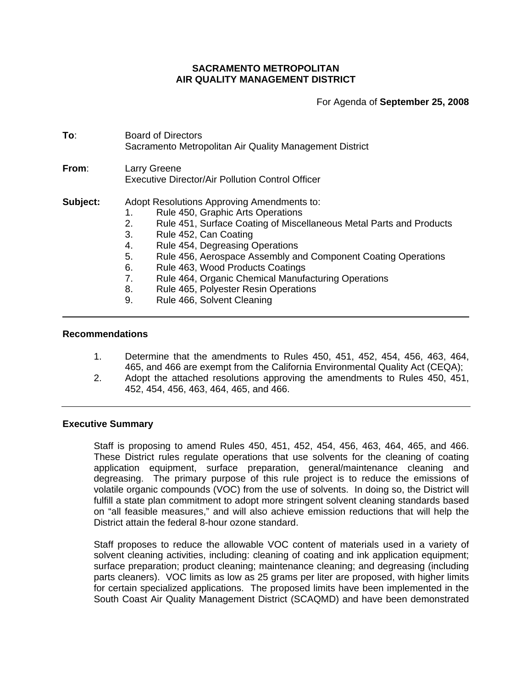# **SACRAMENTO METROPOLITAN AIR QUALITY MANAGEMENT DISTRICT**

For Agenda of **September 25, 2008**

| To:      | <b>Board of Directors</b><br>Sacramento Metropolitan Air Quality Management District                                                                                                                                                                                                                                                                                                                                                                                                                       |  |  |
|----------|------------------------------------------------------------------------------------------------------------------------------------------------------------------------------------------------------------------------------------------------------------------------------------------------------------------------------------------------------------------------------------------------------------------------------------------------------------------------------------------------------------|--|--|
| From:    | Larry Greene<br><b>Executive Director/Air Pollution Control Officer</b>                                                                                                                                                                                                                                                                                                                                                                                                                                    |  |  |
| Subject: | Adopt Resolutions Approving Amendments to:<br>Rule 450, Graphic Arts Operations<br>1.<br>Rule 451, Surface Coating of Miscellaneous Metal Parts and Products<br>2.<br>3.<br>Rule 452, Can Coating<br>Rule 454, Degreasing Operations<br>4.<br>5.<br>Rule 456, Aerospace Assembly and Component Coating Operations<br>6.<br>Rule 463, Wood Products Coatings<br>7.<br>Rule 464, Organic Chemical Manufacturing Operations<br>Rule 465, Polyester Resin Operations<br>8.<br>Rule 466, Solvent Cleaning<br>9. |  |  |

## **Recommendations**

- 1. Determine that the amendments to Rules 450, 451, 452, 454, 456, 463, 464, 465, and 466 are exempt from the California Environmental Quality Act (CEQA);
- 2. Adopt the attached resolutions approving the amendments to Rules 450, 451, 452, 454, 456, 463, 464, 465, and 466.

#### **Executive Summary**

Staff is proposing to amend Rules 450, 451, 452, 454, 456, 463, 464, 465, and 466. These District rules regulate operations that use solvents for the cleaning of coating application equipment, surface preparation, general/maintenance cleaning and degreasing. The primary purpose of this rule project is to reduce the emissions of volatile organic compounds (VOC) from the use of solvents. In doing so, the District will fulfill a state plan commitment to adopt more stringent solvent cleaning standards based on "all feasible measures," and will also achieve emission reductions that will help the District attain the federal 8-hour ozone standard.

Staff proposes to reduce the allowable VOC content of materials used in a variety of solvent cleaning activities, including: cleaning of coating and ink application equipment; surface preparation; product cleaning; maintenance cleaning; and degreasing (including parts cleaners). VOC limits as low as 25 grams per liter are proposed, with higher limits for certain specialized applications. The proposed limits have been implemented in the South Coast Air Quality Management District (SCAQMD) and have been demonstrated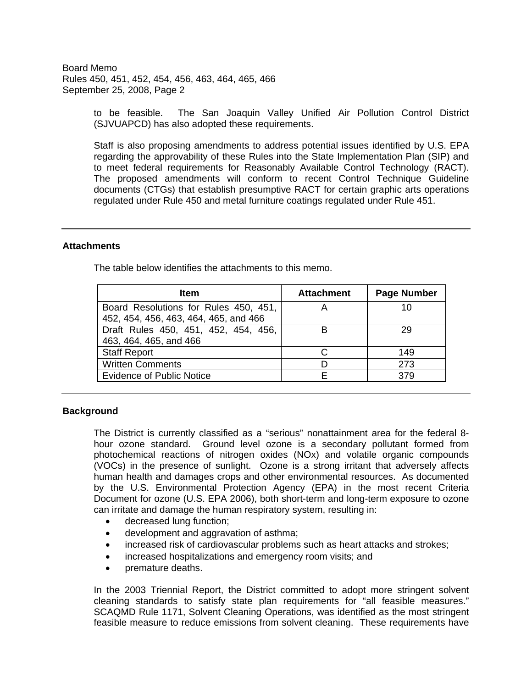> to be feasible. The San Joaquin Valley Unified Air Pollution Control District (SJVUAPCD) has also adopted these requirements.

> Staff is also proposing amendments to address potential issues identified by U.S. EPA regarding the approvability of these Rules into the State Implementation Plan (SIP) and to meet federal requirements for Reasonably Available Control Technology (RACT). The proposed amendments will conform to recent Control Technique Guideline documents (CTGs) that establish presumptive RACT for certain graphic arts operations regulated under Rule 450 and metal furniture coatings regulated under Rule 451.

## **Attachments**

| <b>Item</b>                                                                    | <b>Attachment</b> | <b>Page Number</b> |  |
|--------------------------------------------------------------------------------|-------------------|--------------------|--|
| Board Resolutions for Rules 450, 451,<br>452, 454, 456, 463, 464, 465, and 466 |                   | 10                 |  |
| Draft Rules 450, 451, 452, 454, 456,<br>463, 464, 465, and 466                 |                   | 29                 |  |
| <b>Staff Report</b>                                                            |                   | 149                |  |
| <b>Written Comments</b>                                                        |                   |                    |  |

Evidence of Public Notice **E** By Research E 379

The table below identifies the attachments to this memo.

## **Background**

The District is currently classified as a "serious" nonattainment area for the federal 8 hour ozone standard. Ground level ozone is a secondary pollutant formed from photochemical reactions of nitrogen oxides (NOx) and volatile organic compounds (VOCs) in the presence of sunlight. Ozone is a strong irritant that adversely affects human health and damages crops and other environmental resources. As documented by the U.S. Environmental Protection Agency (EPA) in the most recent Criteria Document for ozone (U.S. EPA 2006), both short-term and long-term exposure to ozone can irritate and damage the human respiratory system, resulting in:

- decreased lung function;
- development and aggravation of asthma;
- increased risk of cardiovascular problems such as heart attacks and strokes;
- increased hospitalizations and emergency room visits; and
- premature deaths.

In the 2003 Triennial Report, the District committed to adopt more stringent solvent cleaning standards to satisfy state plan requirements for "all feasible measures." SCAQMD Rule 1171, Solvent Cleaning Operations, was identified as the most stringent feasible measure to reduce emissions from solvent cleaning. These requirements have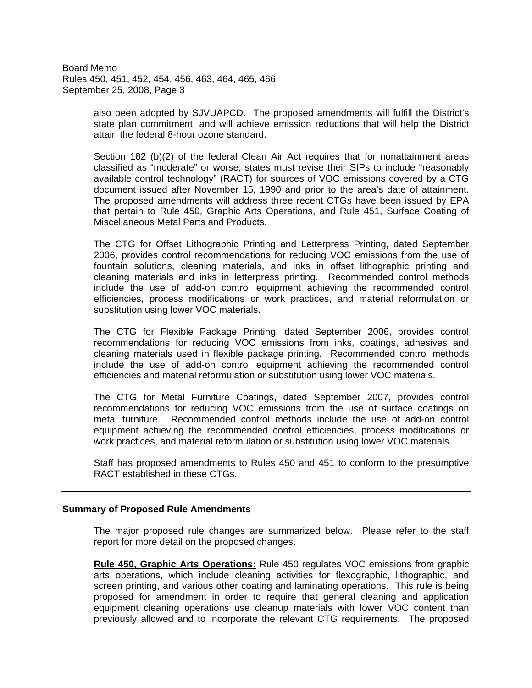> also been adopted by SJVUAPCD. The proposed amendments will fulfill the District's state plan commitment, and will achieve emission reductions that will help the District attain the federal 8-hour ozone standard.

> Section 182 (b)(2) of the federal Clean Air Act requires that for nonattainment areas classified as "moderate" or worse, states must revise their SIPs to include "reasonably available control technology" (RACT) for sources of VOC emissions covered by a CTG document issued after November 15, 1990 and prior to the area's date of attainment. The proposed amendments will address three recent CTGs have been issued by EPA that pertain to Rule 450, Graphic Arts Operations, and Rule 451, Surface Coating of Miscellaneous Metal Parts and Products.

> The CTG for Offset Lithographic Printing and Letterpress Printing, dated September 2006, provides control recommendations for reducing VOC emissions from the use of fountain solutions, cleaning materials, and inks in offset lithographic printing and cleaning materials and inks in letterpress printing. Recommended control methods include the use of add-on control equipment achieving the recommended control efficiencies, process modifications or work practices, and material reformulation or substitution using lower VOC materials.

> The CTG for Flexible Package Printing, dated September 2006, provides control recommendations for reducing VOC emissions from inks, coatings, adhesives and cleaning materials used in flexible package printing. Recommended control methods include the use of add-on control equipment achieving the recommended control efficiencies and material reformulation or substitution using lower VOC materials.

> The CTG for Metal Furniture Coatings, dated September 2007, provides control recommendations for reducing VOC emissions from the use of surface coatings on metal furniture. Recommended control methods include the use of add-on control equipment achieving the recommended control efficiencies, process modifications or work practices, and material reformulation or substitution using lower VOC materials.

> Staff has proposed amendments to Rules 450 and 451 to conform to the presumptive RACT established in these CTGs.

#### **Summary of Proposed Rule Amendments**

The major proposed rule changes are summarized below. Please refer to the staff report for more detail on the proposed changes.

**Rule 450, Graphic Arts Operations:** Rule 450 regulates VOC emissions from graphic arts operations, which include cleaning activities for flexographic, lithographic, and screen printing, and various other coating and laminating operations. This rule is being proposed for amendment in order to require that general cleaning and application equipment cleaning operations use cleanup materials with lower VOC content than previously allowed and to incorporate the relevant CTG requirements. The proposed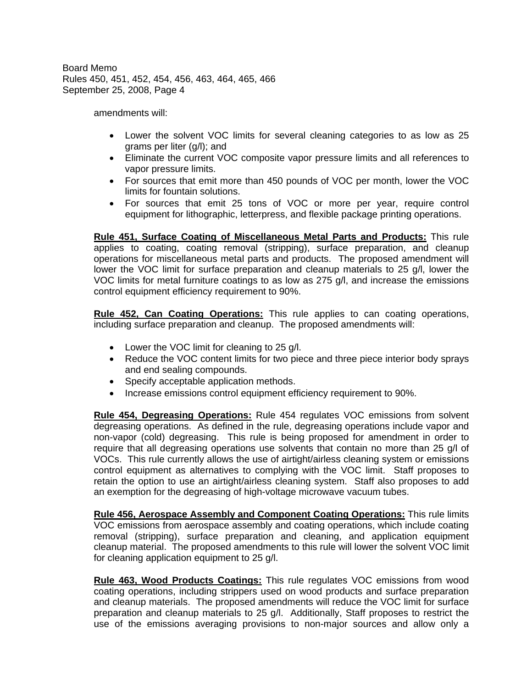amendments will:

- Lower the solvent VOC limits for several cleaning categories to as low as 25 grams per liter (g/l); and
- Eliminate the current VOC composite vapor pressure limits and all references to vapor pressure limits.
- For sources that emit more than 450 pounds of VOC per month, lower the VOC limits for fountain solutions.
- For sources that emit 25 tons of VOC or more per year, require control equipment for lithographic, letterpress, and flexible package printing operations.

**Rule 451, Surface Coating of Miscellaneous Metal Parts and Products:** This rule applies to coating, coating removal (stripping), surface preparation, and cleanup operations for miscellaneous metal parts and products. The proposed amendment will lower the VOC limit for surface preparation and cleanup materials to 25 g/l, lower the VOC limits for metal furniture coatings to as low as 275 g/l, and increase the emissions control equipment efficiency requirement to 90%.

**Rule 452, Can Coating Operations:** This rule applies to can coating operations, including surface preparation and cleanup. The proposed amendments will:

- Lower the VOC limit for cleaning to 25 g/l.
- Reduce the VOC content limits for two piece and three piece interior body sprays and end sealing compounds.
- Specify acceptable application methods.
- Increase emissions control equipment efficiency requirement to 90%.

**Rule 454, Degreasing Operations:** Rule 454 regulates VOC emissions from solvent degreasing operations. As defined in the rule, degreasing operations include vapor and non-vapor (cold) degreasing. This rule is being proposed for amendment in order to require that all degreasing operations use solvents that contain no more than 25 g/l of VOCs. This rule currently allows the use of airtight/airless cleaning system or emissions control equipment as alternatives to complying with the VOC limit. Staff proposes to retain the option to use an airtight/airless cleaning system. Staff also proposes to add an exemption for the degreasing of high-voltage microwave vacuum tubes.

**Rule 456, Aerospace Assembly and Component Coating Operations:** This rule limits VOC emissions from aerospace assembly and coating operations, which include coating removal (stripping), surface preparation and cleaning, and application equipment cleanup material. The proposed amendments to this rule will lower the solvent VOC limit for cleaning application equipment to 25 g/l.

**Rule 463, Wood Products Coatings:** This rule regulates VOC emissions from wood coating operations, including strippers used on wood products and surface preparation and cleanup materials. The proposed amendments will reduce the VOC limit for surface preparation and cleanup materials to 25 g/l. Additionally, Staff proposes to restrict the use of the emissions averaging provisions to non-major sources and allow only a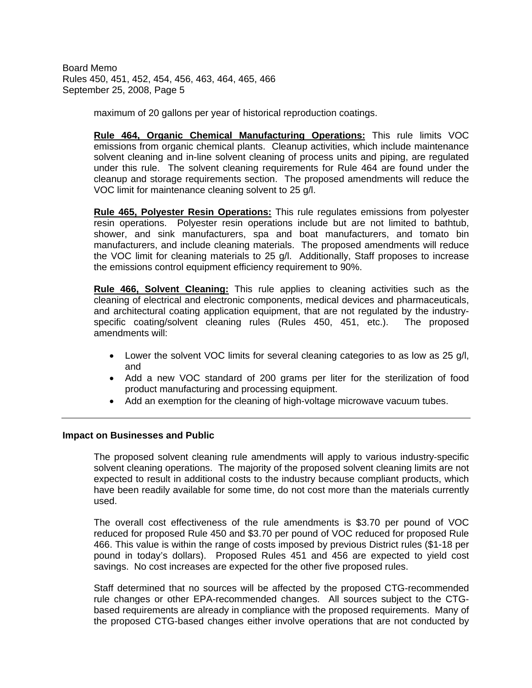maximum of 20 gallons per year of historical reproduction coatings.

**Rule 464, Organic Chemical Manufacturing Operations:** This rule limits VOC emissions from organic chemical plants. Cleanup activities, which include maintenance solvent cleaning and in-line solvent cleaning of process units and piping, are regulated under this rule. The solvent cleaning requirements for Rule 464 are found under the cleanup and storage requirements section. The proposed amendments will reduce the VOC limit for maintenance cleaning solvent to 25 g/l.

**Rule 465, Polyester Resin Operations:** This rule regulates emissions from polyester resin operations. Polyester resin operations include but are not limited to bathtub, shower, and sink manufacturers, spa and boat manufacturers, and tomato bin manufacturers, and include cleaning materials. The proposed amendments will reduce the VOC limit for cleaning materials to 25 g/l. Additionally, Staff proposes to increase the emissions control equipment efficiency requirement to 90%.

**Rule 466, Solvent Cleaning:** This rule applies to cleaning activities such as the cleaning of electrical and electronic components, medical devices and pharmaceuticals, and architectural coating application equipment, that are not regulated by the industryspecific coating/solvent cleaning rules (Rules 450, 451, etc.). The proposed amendments will:

- Lower the solvent VOC limits for several cleaning categories to as low as 25 g/l, and
- Add a new VOC standard of 200 grams per liter for the sterilization of food product manufacturing and processing equipment.
- Add an exemption for the cleaning of high-voltage microwave vacuum tubes.

#### **Impact on Businesses and Public**

The proposed solvent cleaning rule amendments will apply to various industry-specific solvent cleaning operations. The majority of the proposed solvent cleaning limits are not expected to result in additional costs to the industry because compliant products, which have been readily available for some time, do not cost more than the materials currently used.

The overall cost effectiveness of the rule amendments is \$3.70 per pound of VOC reduced for proposed Rule 450 and \$3.70 per pound of VOC reduced for proposed Rule 466. This value is within the range of costs imposed by previous District rules (\$1-18 per pound in today's dollars). Proposed Rules 451 and 456 are expected to yield cost savings. No cost increases are expected for the other five proposed rules.

Staff determined that no sources will be affected by the proposed CTG-recommended rule changes or other EPA-recommended changes. All sources subject to the CTGbased requirements are already in compliance with the proposed requirements. Many of the proposed CTG-based changes either involve operations that are not conducted by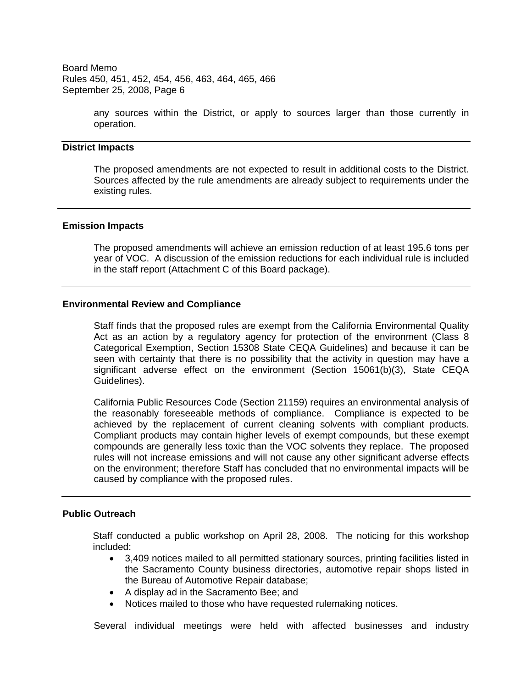> any sources within the District, or apply to sources larger than those currently in operation.

#### **District Impacts**

The proposed amendments are not expected to result in additional costs to the District. Sources affected by the rule amendments are already subject to requirements under the existing rules.

### **Emission Impacts**

The proposed amendments will achieve an emission reduction of at least 195.6 tons per year of VOC. A discussion of the emission reductions for each individual rule is included in the staff report (Attachment C of this Board package).

## **Environmental Review and Compliance**

Staff finds that the proposed rules are exempt from the California Environmental Quality Act as an action by a regulatory agency for protection of the environment (Class 8 Categorical Exemption, Section 15308 State CEQA Guidelines) and because it can be seen with certainty that there is no possibility that the activity in question may have a significant adverse effect on the environment (Section 15061(b)(3), State CEQA Guidelines).

California Public Resources Code (Section 21159) requires an environmental analysis of the reasonably foreseeable methods of compliance. Compliance is expected to be achieved by the replacement of current cleaning solvents with compliant products. Compliant products may contain higher levels of exempt compounds, but these exempt compounds are generally less toxic than the VOC solvents they replace. The proposed rules will not increase emissions and will not cause any other significant adverse effects on the environment; therefore Staff has concluded that no environmental impacts will be caused by compliance with the proposed rules.

#### **Public Outreach**

Staff conducted a public workshop on April 28, 2008. The noticing for this workshop included:

- 3,409 notices mailed to all permitted stationary sources, printing facilities listed in the Sacramento County business directories, automotive repair shops listed in the Bureau of Automotive Repair database;
- A display ad in the Sacramento Bee; and
- Notices mailed to those who have requested rulemaking notices.

Several individual meetings were held with affected businesses and industry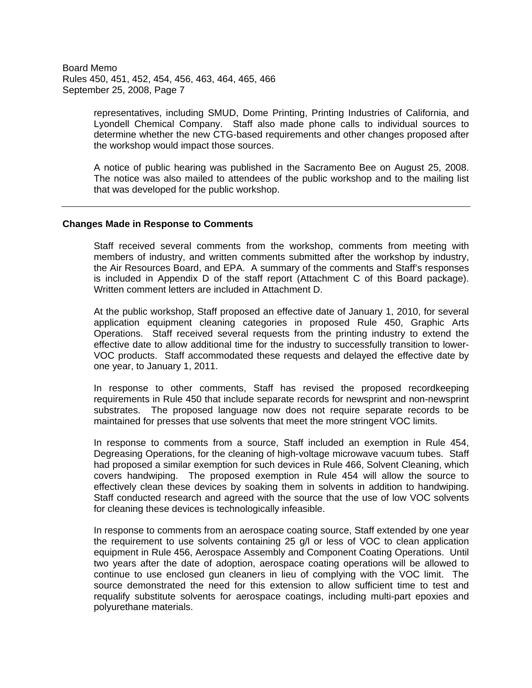> representatives, including SMUD, Dome Printing, Printing Industries of California, and Lyondell Chemical Company. Staff also made phone calls to individual sources to determine whether the new CTG-based requirements and other changes proposed after the workshop would impact those sources.

> A notice of public hearing was published in the Sacramento Bee on August 25, 2008. The notice was also mailed to attendees of the public workshop and to the mailing list that was developed for the public workshop.

## **Changes Made in Response to Comments**

Staff received several comments from the workshop, comments from meeting with members of industry, and written comments submitted after the workshop by industry, the Air Resources Board, and EPA. A summary of the comments and Staff's responses is included in Appendix D of the staff report (Attachment C of this Board package). Written comment letters are included in Attachment D.

At the public workshop, Staff proposed an effective date of January 1, 2010, for several application equipment cleaning categories in proposed Rule 450, Graphic Arts Operations. Staff received several requests from the printing industry to extend the effective date to allow additional time for the industry to successfully transition to lower-VOC products. Staff accommodated these requests and delayed the effective date by one year, to January 1, 2011.

In response to other comments, Staff has revised the proposed recordkeeping requirements in Rule 450 that include separate records for newsprint and non-newsprint substrates. The proposed language now does not require separate records to be maintained for presses that use solvents that meet the more stringent VOC limits.

In response to comments from a source, Staff included an exemption in Rule 454, Degreasing Operations, for the cleaning of high-voltage microwave vacuum tubes. Staff had proposed a similar exemption for such devices in Rule 466, Solvent Cleaning, which covers handwiping. The proposed exemption in Rule 454 will allow the source to effectively clean these devices by soaking them in solvents in addition to handwiping. Staff conducted research and agreed with the source that the use of low VOC solvents for cleaning these devices is technologically infeasible.

In response to comments from an aerospace coating source, Staff extended by one year the requirement to use solvents containing 25 g/l or less of VOC to clean application equipment in Rule 456, Aerospace Assembly and Component Coating Operations. Until two years after the date of adoption, aerospace coating operations will be allowed to continue to use enclosed gun cleaners in lieu of complying with the VOC limit. The source demonstrated the need for this extension to allow sufficient time to test and requalify substitute solvents for aerospace coatings, including multi-part epoxies and polyurethane materials.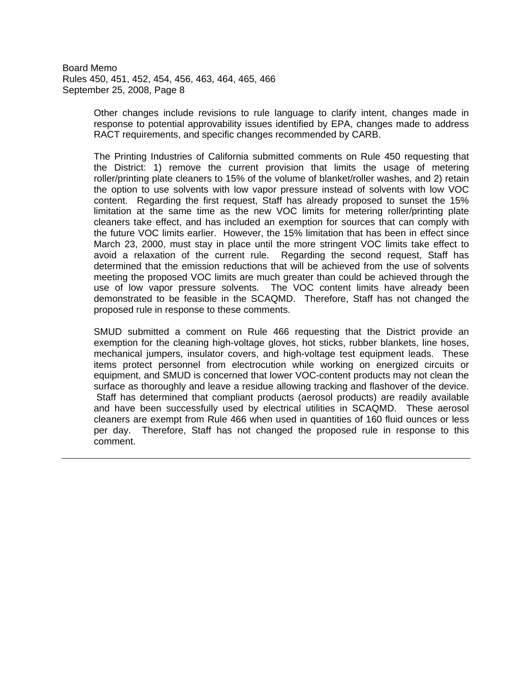> Other changes include revisions to rule language to clarify intent, changes made in response to potential approvability issues identified by EPA, changes made to address RACT requirements, and specific changes recommended by CARB.

> The Printing Industries of California submitted comments on Rule 450 requesting that the District: 1) remove the current provision that limits the usage of metering roller/printing plate cleaners to 15% of the volume of blanket/roller washes, and 2) retain the option to use solvents with low vapor pressure instead of solvents with low VOC content. Regarding the first request, Staff has already proposed to sunset the 15% limitation at the same time as the new VOC limits for metering roller/printing plate cleaners take effect, and has included an exemption for sources that can comply with the future VOC limits earlier. However, the 15% limitation that has been in effect since March 23, 2000, must stay in place until the more stringent VOC limits take effect to avoid a relaxation of the current rule. Regarding the second request, Staff has determined that the emission reductions that will be achieved from the use of solvents meeting the proposed VOC limits are much greater than could be achieved through the use of low vapor pressure solvents. The VOC content limits have already been demonstrated to be feasible in the SCAQMD. Therefore, Staff has not changed the proposed rule in response to these comments.

> SMUD submitted a comment on Rule 466 requesting that the District provide an exemption for the cleaning high-voltage gloves, hot sticks, rubber blankets, line hoses, mechanical jumpers, insulator covers, and high-voltage test equipment leads. These items protect personnel from electrocution while working on energized circuits or equipment, and SMUD is concerned that lower VOC-content products may not clean the surface as thoroughly and leave a residue allowing tracking and flashover of the device. Staff has determined that compliant products (aerosol products) are readily available and have been successfully used by electrical utilities in SCAQMD. These aerosol cleaners are exempt from Rule 466 when used in quantities of 160 fluid ounces or less per day. Therefore, Staff has not changed the proposed rule in response to this comment.